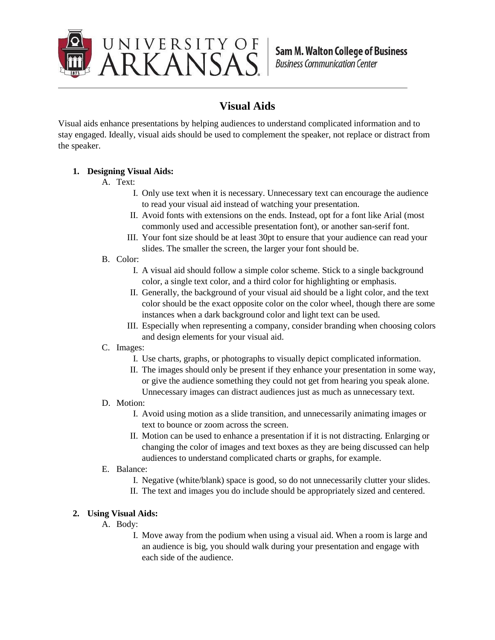

## **Visual Aids**

Visual aids enhance presentations by helping audiences to understand complicated information and to stay engaged. Ideally, visual aids should be used to complement the speaker, not replace or distract from the speaker.

## **1. Designing Visual Aids:**

- A. Text:
	- I. Only use text when it is necessary. Unnecessary text can encourage the audience to read your visual aid instead of watching your presentation.
	- II. Avoid fonts with extensions on the ends. Instead, opt for a font like Arial (most commonly used and accessible presentation font), or another san-serif font.
	- III. Your font size should be at least 30pt to ensure that your audience can read your slides. The smaller the screen, the larger your font should be.
- B. Color:
	- I. A visual aid should follow a simple color scheme. Stick to a single background color, a single text color, and a third color for highlighting or emphasis.
	- II. Generally, the background of your visual aid should be a light color, and the text color should be the exact opposite color on the color wheel, though there are some instances when a dark background color and light text can be used.
	- III. Especially when representing a company, consider branding when choosing colors and design elements for your visual aid.
- C. Images:
	- I. Use charts, graphs, or photographs to visually depict complicated information.
	- II. The images should only be present if they enhance your presentation in some way, or give the audience something they could not get from hearing you speak alone. Unnecessary images can distract audiences just as much as unnecessary text.
- D. Motion:
	- I. Avoid using motion as a slide transition, and unnecessarily animating images or text to bounce or zoom across the screen.
	- II. Motion can be used to enhance a presentation if it is not distracting. Enlarging or changing the color of images and text boxes as they are being discussed can help audiences to understand complicated charts or graphs, for example.
- E. Balance:
	- I. Negative (white/blank) space is good, so do not unnecessarily clutter your slides.
	- II. The text and images you do include should be appropriately sized and centered.

## **2. Using Visual Aids:**

- A. Body:
	- I. Move away from the podium when using a visual aid. When a room is large and an audience is big, you should walk during your presentation and engage with each side of the audience.